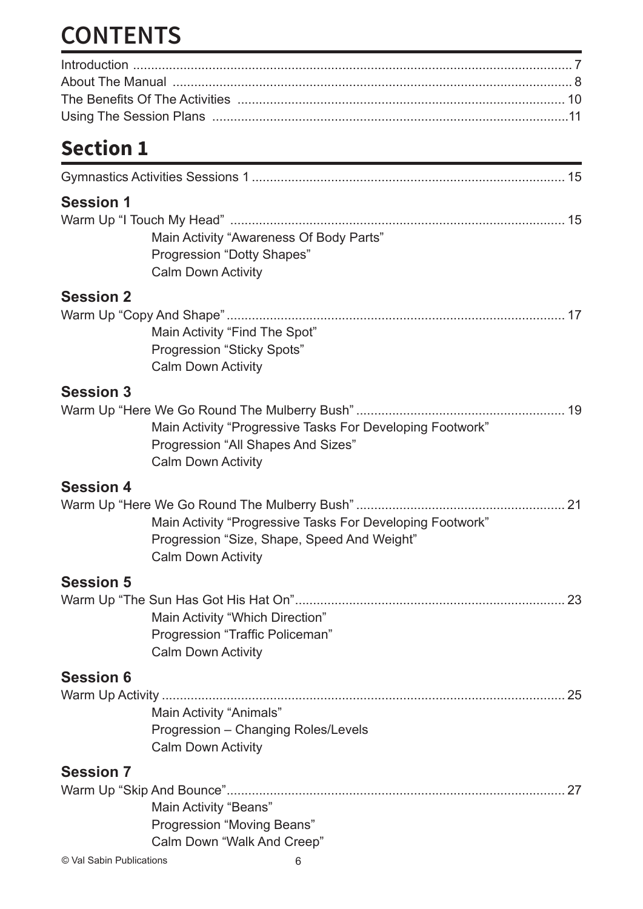# **CONTENTS**

### **Section 1**

| <b>Session 1</b>         |                                             |                                                           |
|--------------------------|---------------------------------------------|-----------------------------------------------------------|
|                          |                                             |                                                           |
|                          | Main Activity "Awareness Of Body Parts"     |                                                           |
|                          | Progression "Dotty Shapes"                  |                                                           |
|                          | <b>Calm Down Activity</b>                   |                                                           |
| <b>Session 2</b>         |                                             |                                                           |
|                          |                                             |                                                           |
|                          | Main Activity "Find The Spot"               |                                                           |
|                          | Progression "Sticky Spots"                  |                                                           |
|                          | <b>Calm Down Activity</b>                   |                                                           |
| <b>Session 3</b>         |                                             |                                                           |
|                          |                                             |                                                           |
|                          |                                             | Main Activity "Progressive Tasks For Developing Footwork" |
|                          | Progression "All Shapes And Sizes"          |                                                           |
|                          | <b>Calm Down Activity</b>                   |                                                           |
| <b>Session 4</b>         |                                             |                                                           |
|                          |                                             |                                                           |
|                          |                                             | Main Activity "Progressive Tasks For Developing Footwork" |
|                          | Progression "Size, Shape, Speed And Weight" |                                                           |
|                          | <b>Calm Down Activity</b>                   |                                                           |
| <b>Session 5</b>         |                                             |                                                           |
|                          |                                             |                                                           |
|                          | Main Activity "Which Direction"             |                                                           |
|                          | Progression "Traffic Policeman"             |                                                           |
|                          | <b>Calm Down Activity</b>                   |                                                           |
| <b>Session 6</b>         |                                             |                                                           |
|                          |                                             | 25                                                        |
|                          | Main Activity "Animals"                     |                                                           |
|                          | Progression - Changing Roles/Levels         |                                                           |
|                          | <b>Calm Down Activity</b>                   |                                                           |
| <b>Session 7</b>         |                                             |                                                           |
|                          |                                             | 27                                                        |
|                          | Main Activity "Beans"                       |                                                           |
|                          | Progression "Moving Beans"                  |                                                           |
|                          | Calm Down "Walk And Creep"                  |                                                           |
| © Val Sabin Publications | 6                                           |                                                           |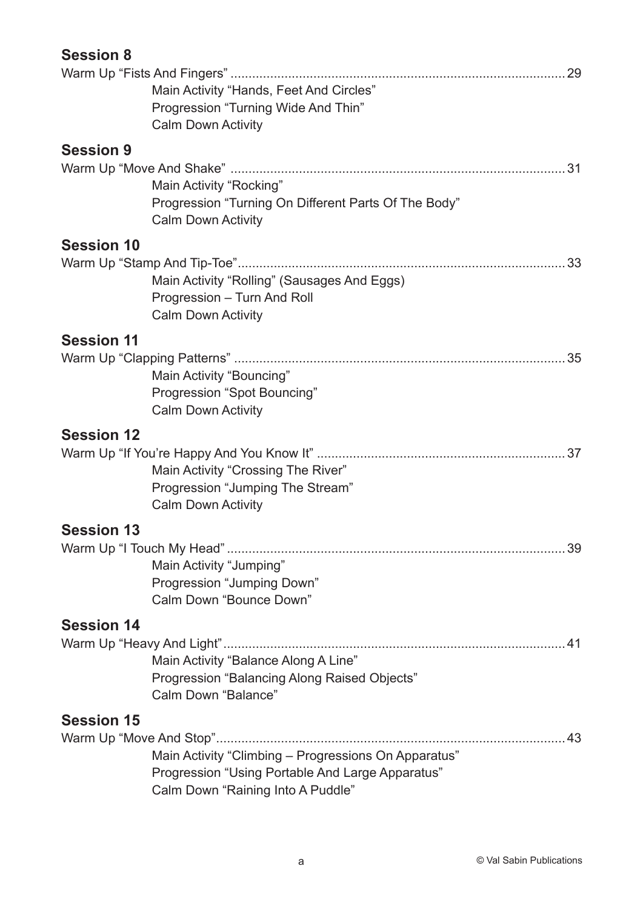| <b>Session 8</b>  |                                                      |    |
|-------------------|------------------------------------------------------|----|
|                   |                                                      | 29 |
|                   | Main Activity "Hands, Feet And Circles"              |    |
|                   | Progression "Turning Wide And Thin"                  |    |
|                   | <b>Calm Down Activity</b>                            |    |
| <b>Session 9</b>  |                                                      |    |
|                   |                                                      |    |
|                   | Main Activity "Rocking"                              |    |
|                   | Progression "Turning On Different Parts Of The Body" |    |
|                   | <b>Calm Down Activity</b>                            |    |
| <b>Session 10</b> |                                                      |    |
|                   |                                                      |    |
|                   | Main Activity "Rolling" (Sausages And Eggs)          |    |
|                   | Progression - Turn And Roll                          |    |
|                   | <b>Calm Down Activity</b>                            |    |
| <b>Session 11</b> |                                                      |    |
|                   |                                                      | 35 |
|                   | Main Activity "Bouncing"                             |    |
|                   | Progression "Spot Bouncing"                          |    |
|                   | <b>Calm Down Activity</b>                            |    |
| <b>Session 12</b> |                                                      |    |
|                   |                                                      |    |
|                   | Main Activity "Crossing The River"                   |    |
|                   | Progression "Jumping The Stream"                     |    |
|                   | <b>Calm Down Activity</b>                            |    |
| <b>Session 13</b> |                                                      |    |
|                   |                                                      |    |
|                   | Main Activity "Jumping"                              |    |
|                   | Progression "Jumping Down"                           |    |
|                   | Calm Down "Bounce Down"                              |    |
|                   |                                                      |    |
| <b>Session 14</b> |                                                      |    |
|                   | Main Activity "Balance Along A Line"                 |    |
|                   | Progression "Balancing Along Raised Objects"         |    |
|                   | Calm Down "Balance"                                  |    |
|                   |                                                      |    |
| <b>Session 15</b> |                                                      |    |
|                   |                                                      |    |
|                   | Main Activity "Climbing - Progressions On Apparatus" |    |
|                   | Progression "Using Portable And Large Apparatus"     |    |
|                   | Calm Down "Raining Into A Puddle"                    |    |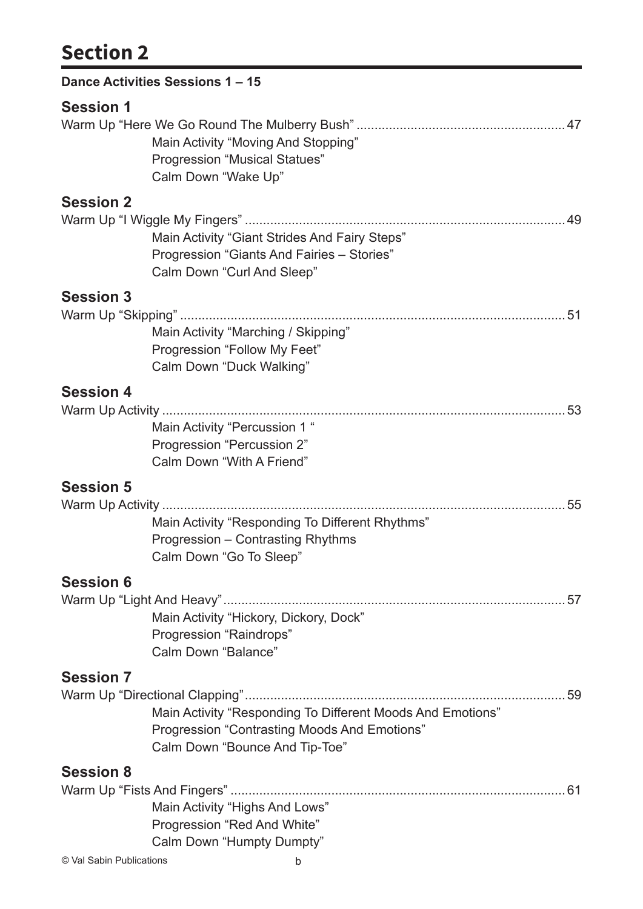### **Section 2**

|                  | Dance Activities Sessions 1 - 15                           |  |
|------------------|------------------------------------------------------------|--|
| <b>Session 1</b> |                                                            |  |
|                  |                                                            |  |
|                  | Main Activity "Moving And Stopping"                        |  |
|                  | <b>Progression "Musical Statues"</b>                       |  |
|                  | Calm Down "Wake Up"                                        |  |
| <b>Session 2</b> |                                                            |  |
|                  |                                                            |  |
|                  | Main Activity "Giant Strides And Fairy Steps"              |  |
|                  | Progression "Giants And Fairies - Stories"                 |  |
|                  | Calm Down "Curl And Sleep"                                 |  |
| <b>Session 3</b> |                                                            |  |
|                  |                                                            |  |
|                  | Main Activity "Marching / Skipping"                        |  |
|                  | Progression "Follow My Feet"                               |  |
|                  | Calm Down "Duck Walking"                                   |  |
| <b>Session 4</b> |                                                            |  |
|                  |                                                            |  |
|                  | Main Activity "Percussion 1 "                              |  |
|                  | Progression "Percussion 2"                                 |  |
|                  | Calm Down "With A Friend"                                  |  |
| <b>Session 5</b> |                                                            |  |
|                  |                                                            |  |
|                  | Main Activity "Responding To Different Rhythms"            |  |
|                  | Progression - Contrasting Rhythms                          |  |
|                  | Calm Down "Go To Sleep"                                    |  |
| <b>Session 6</b> |                                                            |  |
|                  |                                                            |  |
|                  | Main Activity "Hickory, Dickory, Dock"                     |  |
|                  | Progression "Raindrops"                                    |  |
|                  | Calm Down "Balance"                                        |  |
|                  |                                                            |  |
| <b>Session 7</b> |                                                            |  |
|                  | Main Activity "Responding To Different Moods And Emotions" |  |
|                  | Progression "Contrasting Moods And Emotions"               |  |
|                  | Calm Down "Bounce And Tip-Toe"                             |  |
|                  |                                                            |  |
| <b>Session 8</b> |                                                            |  |
|                  |                                                            |  |
|                  | Main Activity "Highs And Lows"                             |  |
|                  | Progression "Red And White"<br>Calm Down "Humpty Dumpty"   |  |
|                  |                                                            |  |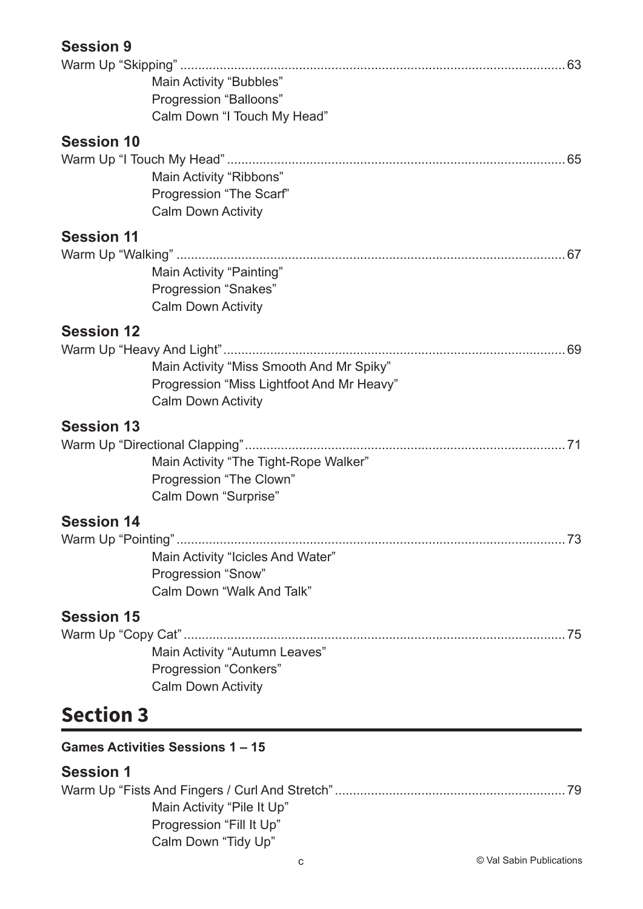| <b>Session 9</b> |  |
|------------------|--|
|------------------|--|

|                   | Main Activity "Bubbles"                   |
|-------------------|-------------------------------------------|
|                   | Progression "Balloons"                    |
|                   | Calm Down "I Touch My Head"               |
| <b>Session 10</b> |                                           |
|                   |                                           |
|                   | Main Activity "Ribbons"                   |
|                   | Progression "The Scarf"                   |
|                   | <b>Calm Down Activity</b>                 |
| <b>Session 11</b> |                                           |
|                   |                                           |
|                   | Main Activity "Painting"                  |
|                   | Progression "Snakes"                      |
|                   | <b>Calm Down Activity</b>                 |
| <b>Session 12</b> |                                           |
|                   |                                           |
|                   | Main Activity "Miss Smooth And Mr Spiky"  |
|                   | Progression "Miss Lightfoot And Mr Heavy" |
|                   | <b>Calm Down Activity</b>                 |
| <b>Session 13</b> |                                           |
|                   |                                           |
|                   | Main Activity "The Tight-Rope Walker"     |
|                   | Progression "The Clown"                   |
|                   | Calm Down "Surprise"                      |
| <b>Session 14</b> |                                           |
|                   |                                           |
|                   | Main Activity "Icicles And Water"         |
|                   | Progression "Snow"                        |
|                   | Calm Down "Walk And Talk"                 |
| <b>Session 15</b> |                                           |
|                   |                                           |
|                   | Main Activity "Autumn Leaves"             |
|                   | <b>Progression "Conkers"</b>              |
|                   | <b>Calm Down Activity</b>                 |
| <b>Section 3</b>  |                                           |
|                   | <b>Games Activities Sessions 1-15</b>     |
| <b>Session 1</b>  |                                           |
|                   |                                           |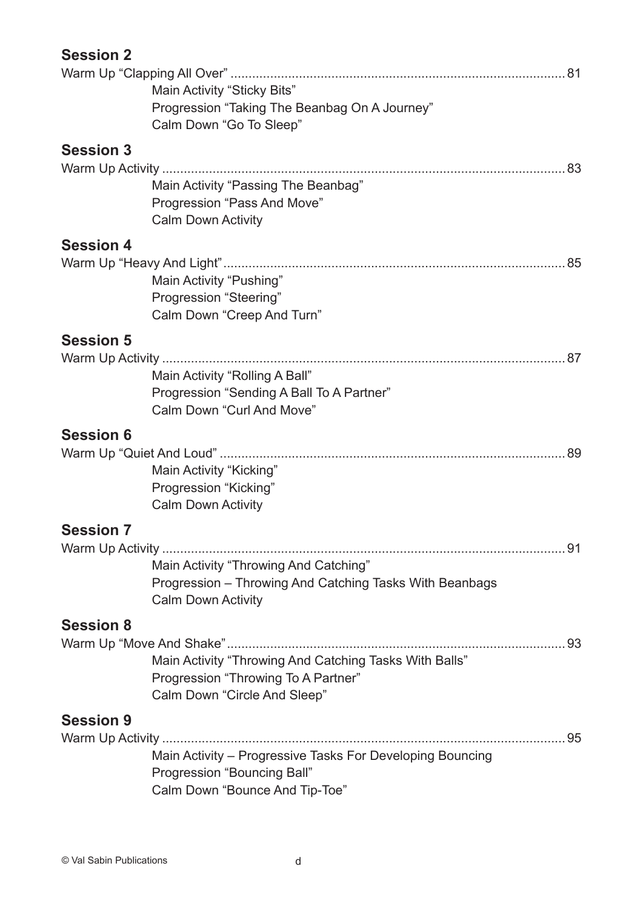| <b>Session 2</b> |                                                           |  |
|------------------|-----------------------------------------------------------|--|
|                  |                                                           |  |
|                  | Main Activity "Sticky Bits"                               |  |
|                  | Progression "Taking The Beanbag On A Journey"             |  |
|                  | Calm Down "Go To Sleep"                                   |  |
| <b>Session 3</b> |                                                           |  |
|                  |                                                           |  |
|                  | Main Activity "Passing The Beanbag"                       |  |
|                  | Progression "Pass And Move"                               |  |
|                  | <b>Calm Down Activity</b>                                 |  |
| <b>Session 4</b> |                                                           |  |
|                  |                                                           |  |
|                  | Main Activity "Pushing"                                   |  |
|                  | Progression "Steering"                                    |  |
|                  | Calm Down "Creep And Turn"                                |  |
| <b>Session 5</b> |                                                           |  |
|                  |                                                           |  |
|                  | Main Activity "Rolling A Ball"                            |  |
|                  | Progression "Sending A Ball To A Partner"                 |  |
|                  | Calm Down "Curl And Move"                                 |  |
| <b>Session 6</b> |                                                           |  |
|                  |                                                           |  |
|                  | Main Activity "Kicking"                                   |  |
|                  | Progression "Kicking"                                     |  |
|                  | <b>Calm Down Activity</b>                                 |  |
|                  |                                                           |  |
| <b>Session 7</b> |                                                           |  |
|                  | Main Activity "Throwing And Catching"                     |  |
|                  | Progression - Throwing And Catching Tasks With Beanbags   |  |
|                  | <b>Calm Down Activity</b>                                 |  |
|                  |                                                           |  |
| <b>Session 8</b> |                                                           |  |
|                  |                                                           |  |
|                  | Main Activity "Throwing And Catching Tasks With Balls"    |  |
|                  | Progression "Throwing To A Partner"                       |  |
|                  | Calm Down "Circle And Sleep"                              |  |
| <b>Session 9</b> |                                                           |  |
|                  |                                                           |  |
|                  | Main Activity - Progressive Tasks For Developing Bouncing |  |
|                  | Progression "Bouncing Ball"                               |  |
|                  | Calm Down "Bounce And Tip-Toe"                            |  |
|                  |                                                           |  |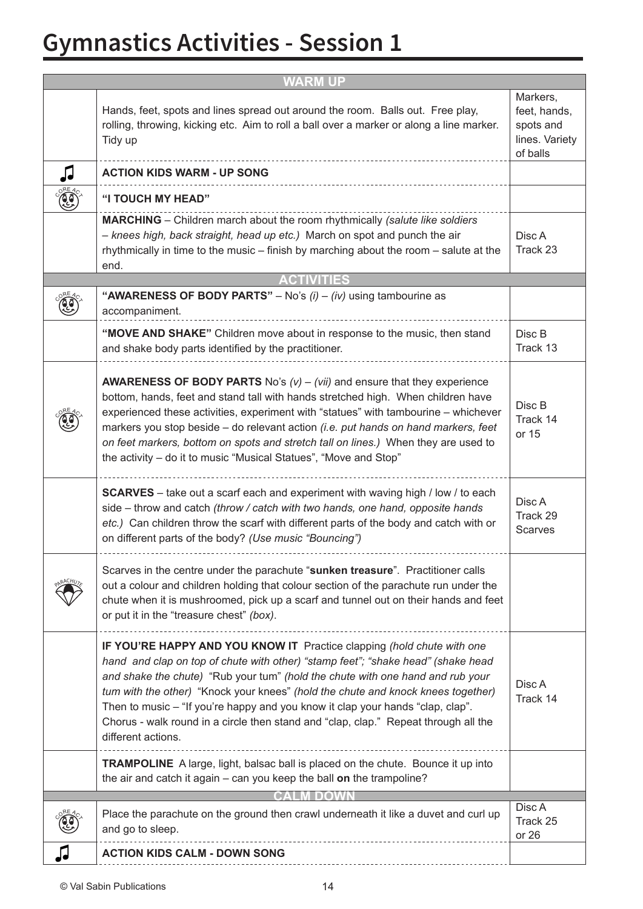# **Gymnastics Activities - Session 1**

| <b>WARM UP</b> |                                                                                                                                                                                                                                                                                                                                                                                                                                                                                                                                 |                                                                     |  |
|----------------|---------------------------------------------------------------------------------------------------------------------------------------------------------------------------------------------------------------------------------------------------------------------------------------------------------------------------------------------------------------------------------------------------------------------------------------------------------------------------------------------------------------------------------|---------------------------------------------------------------------|--|
|                | Hands, feet, spots and lines spread out around the room. Balls out. Free play,<br>rolling, throwing, kicking etc. Aim to roll a ball over a marker or along a line marker.<br>Tidy up                                                                                                                                                                                                                                                                                                                                           | Markers,<br>feet, hands,<br>spots and<br>lines. Variety<br>of balls |  |
|                | <b>ACTION KIDS WARM - UP SONG</b>                                                                                                                                                                                                                                                                                                                                                                                                                                                                                               |                                                                     |  |
|                | "I TOUCH MY HEAD"                                                                                                                                                                                                                                                                                                                                                                                                                                                                                                               |                                                                     |  |
|                | <b>MARCHING</b> – Children march about the room rhythmically (salute like soldiers<br>- knees high, back straight, head up etc.) March on spot and punch the air<br>rhythmically in time to the music – finish by marching about the room – salute at the<br>end.                                                                                                                                                                                                                                                               | Disc A<br>Track 23                                                  |  |
|                | <b>ACTIVITIES</b>                                                                                                                                                                                                                                                                                                                                                                                                                                                                                                               |                                                                     |  |
|                | "AWARENESS OF BODY PARTS" - No's $(i) - (iv)$ using tambourine as<br>accompaniment.                                                                                                                                                                                                                                                                                                                                                                                                                                             |                                                                     |  |
|                | "MOVE AND SHAKE" Children move about in response to the music, then stand<br>and shake body parts identified by the practitioner.                                                                                                                                                                                                                                                                                                                                                                                               | Disc B<br>Track 13                                                  |  |
|                | <b>AWARENESS OF BODY PARTS</b> No's $(v) - (vii)$ and ensure that they experience<br>bottom, hands, feet and stand tall with hands stretched high. When children have<br>experienced these activities, experiment with "statues" with tambourine - whichever<br>markers you stop beside – do relevant action (i.e. put hands on hand markers, feet<br>on feet markers, bottom on spots and stretch tall on lines.) When they are used to<br>the activity – do it to music "Musical Statues", "Move and Stop"                    | Disc B<br>Track 14<br>or 15                                         |  |
|                | <b>SCARVES</b> – take out a scarf each and experiment with waving high / low / to each<br>side - throw and catch (throw / catch with two hands, one hand, opposite hands<br>etc.) Can children throw the scarf with different parts of the body and catch with or<br>on different parts of the body? (Use music "Bouncing")                                                                                                                                                                                                     | Disc A<br>Track 29<br><b>Scarves</b>                                |  |
|                | Scarves in the centre under the parachute "sunken treasure". Practitioner calls<br>out a colour and children holding that colour section of the parachute run under the<br>chute when it is mushroomed, pick up a scarf and tunnel out on their hands and feet<br>or put it in the "treasure chest" (box).                                                                                                                                                                                                                      |                                                                     |  |
|                | IF YOU'RE HAPPY AND YOU KNOW IT Practice clapping (hold chute with one<br>hand and clap on top of chute with other) "stamp feet"; "shake head" (shake head<br>and shake the chute) "Rub your tum" (hold the chute with one hand and rub your<br>tum with the other) "Knock your knees" (hold the chute and knock knees together)<br>Then to music – "If you're happy and you know it clap your hands "clap, clap".<br>Chorus - walk round in a circle then stand and "clap, clap." Repeat through all the<br>different actions. | Disc A<br>Track 14                                                  |  |
|                | <b>TRAMPOLINE</b> A large, light, balsac ball is placed on the chute. Bounce it up into<br>the air and catch it again – can you keep the ball on the trampoline?                                                                                                                                                                                                                                                                                                                                                                |                                                                     |  |
|                |                                                                                                                                                                                                                                                                                                                                                                                                                                                                                                                                 |                                                                     |  |
|                | Place the parachute on the ground then crawl underneath it like a duvet and curl up<br>and go to sleep.                                                                                                                                                                                                                                                                                                                                                                                                                         | Disc A<br>Track 25<br>or 26                                         |  |
|                | <b>ACTION KIDS CALM - DOWN SONG</b>                                                                                                                                                                                                                                                                                                                                                                                                                                                                                             |                                                                     |  |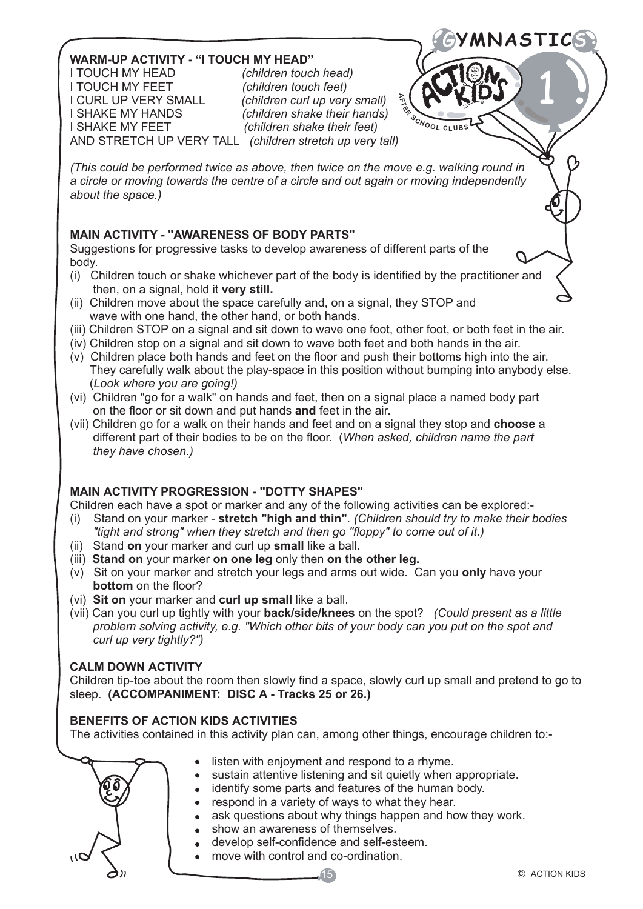### **WARM-UP ACTIVITY - "I TOUCH MY HEAD"**

I TOUCH MY HEAD *(children touch head)* I TOUCH MY FEET *(children touch feet)* I CURL UP VERY SMALL *(children curl up very small)* I SHAKE MY HANDS *(children shake their hands)* AND STRETCH UP VERY TALL *(children stretch up very tall)*

 $(children \; share \; their \; feet)$ 

**A**

 $\frac{1}{2}$ 

*(This could be performed twice as above, then twice on the move e.g. walking round in a circle or moving towards the centre of a circle and out again or moving independently about the space.)*

### **MAIN ACTIVITY - "AWARENESS OF BODY PARTS"**

Suggestions for progressive tasks to develop awareness of different parts of the body.

- (i) Children touch or shake whichever part of the body is identified by the practitioner and then, on a signal, hold it **very still.**
- (ii) Children move about the space carefully and, on a signal, they STOP and wave with one hand, the other hand, or both hands.
- (iii) Children STOP on a signal and sit down to wave one foot, other foot, or both feet in the air.
- (iv) Children stop on a signal and sit down to wave both feet and both hands in the air.
- (v) Children place both hands and feet on the floor and push their bottoms high into the air. They carefully walk about the play-space in this position without bumping into anybody else. (*Look where you are going!)*
- (vi) Children "go for a walk" on hands and feet, then on a signal place a named body part on the floor or sit down and put hands **and** feet in the air.
- (vii) Children go for a walk on their hands and feet and on a signal they stop and **choose** a different part of their bodies to be on the floor. (*When asked, children name the part they have chosen.)*

### **MAIN ACTIVITY PROGRESSION - "DOTTY SHAPES"**

Children each have a spot or marker and any of the following activities can be explored:-

- (i) Stand on your marker - **stretch "high and thin"**. *(Children should try to make their bodies "tight and strong" when they stretch and then go "floppy" to come out of it.)*
- (ii) Stand **on** your marker and curl up **small** like a ball.
- (iii) **Stand on** your marker **on one leg** only then **on the other leg.**
- (v) Sit on your marker and stretch your legs and arms out wide. Can you **only** have your  **bottom** on the floor?
- (vi) **Sit on** your marker and **curl up small** like a ball.
- (vii) Can you curl up tightly with your **back/side/knees** on the spot? *(Could present as a little problem solving activity, e.g. "Which other bits of your body can you put on the spot and curl up very tightly?")*

#### **CALM DOWN ACTIVITY**

Children tip-toe about the room then slowly find a space, slowly curl up small and pretend to go to sleep. **(ACCOMPANIMENT: DISC A - Tracks 25 or 26.)**

#### **BENEFITS OF ACTION KIDS ACTIVITIES**

The activities contained in this activity plan can, among other things, encourage children to:-



- listen with enjoyment and respond to a rhyme.
- sustain attentive listening and sit quietly when appropriate.
- identify some parts and features of the human body.
- respond in a variety of ways to what they hear.

15

- ask questions about why things happen and how they work.
- show an awareness of themselves.
- develop self-confidence and self-esteem.
- move with control and co-ordination.

G**YMNASTIC**S

1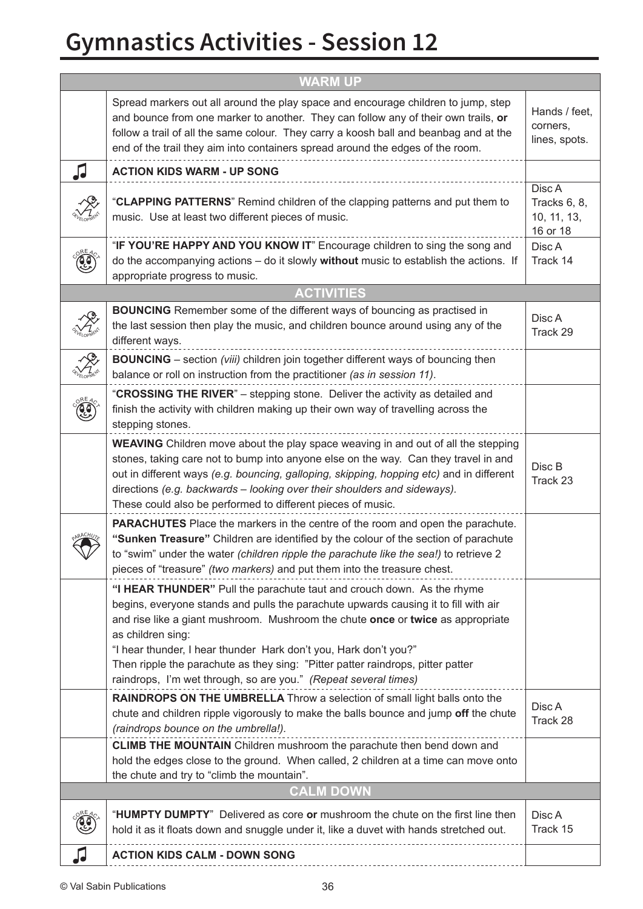# **Gymnastics Activities - Session 12**

| <b>WARM UP</b> |                                                                                                                                                                                                                                                                                                                                                                                                                                                                                                 |                                                   |  |
|----------------|-------------------------------------------------------------------------------------------------------------------------------------------------------------------------------------------------------------------------------------------------------------------------------------------------------------------------------------------------------------------------------------------------------------------------------------------------------------------------------------------------|---------------------------------------------------|--|
|                | Spread markers out all around the play space and encourage children to jump, step<br>and bounce from one marker to another. They can follow any of their own trails, or<br>follow a trail of all the same colour. They carry a koosh ball and beanbag and at the<br>end of the trail they aim into containers spread around the edges of the room.                                                                                                                                              | Hands / feet,<br>corners,<br>lines, spots.        |  |
| 几              | <b>ACTION KIDS WARM - UP SONG</b>                                                                                                                                                                                                                                                                                                                                                                                                                                                               |                                                   |  |
|                | "CLAPPING PATTERNS" Remind children of the clapping patterns and put them to<br>music. Use at least two different pieces of music.                                                                                                                                                                                                                                                                                                                                                              | Disc A<br>Tracks 6, 8,<br>10, 11, 13,<br>16 or 18 |  |
|                | "IF YOU'RE HAPPY AND YOU KNOW IT" Encourage children to sing the song and<br>do the accompanying actions - do it slowly without music to establish the actions. If<br>appropriate progress to music.                                                                                                                                                                                                                                                                                            | Disc A<br>Track 14                                |  |
|                | <b>ACTIVITIES</b>                                                                                                                                                                                                                                                                                                                                                                                                                                                                               |                                                   |  |
|                | <b>BOUNCING</b> Remember some of the different ways of bouncing as practised in<br>the last session then play the music, and children bounce around using any of the<br>different ways.                                                                                                                                                                                                                                                                                                         | Disc A<br>Track 29                                |  |
|                | <b>BOUNCING</b> – section (viii) children join together different ways of bouncing then<br>balance or roll on instruction from the practitioner (as in session 11).                                                                                                                                                                                                                                                                                                                             |                                                   |  |
|                | "CROSSING THE RIVER" - stepping stone. Deliver the activity as detailed and<br>finish the activity with children making up their own way of travelling across the<br>stepping stones.                                                                                                                                                                                                                                                                                                           |                                                   |  |
|                | <b>WEAVING</b> Children move about the play space weaving in and out of all the stepping<br>stones, taking care not to bump into anyone else on the way. Can they travel in and<br>out in different ways (e.g. bouncing, galloping, skipping, hopping etc) and in different<br>directions (e.g. backwards - looking over their shoulders and sideways).<br>These could also be performed to different pieces of music.                                                                          | Disc B<br>Track 23                                |  |
|                | <b>PARACHUTES</b> Place the markers in the centre of the room and open the parachute.<br>"Sunken Treasure" Children are identified by the colour of the section of parachute<br>to "swim" under the water (children ripple the parachute like the sea!) to retrieve 2<br>pieces of "treasure" (two markers) and put them into the treasure chest.                                                                                                                                               |                                                   |  |
|                | "I HEAR THUNDER" Pull the parachute taut and crouch down. As the rhyme<br>begins, everyone stands and pulls the parachute upwards causing it to fill with air<br>and rise like a giant mushroom. Mushroom the chute once or twice as appropriate<br>as children sing:<br>"I hear thunder, I hear thunder Hark don't you, Hark don't you?"<br>Then ripple the parachute as they sing: "Pitter patter raindrops, pitter patter<br>raindrops, I'm wet through, so are you." (Repeat several times) |                                                   |  |
|                | RAINDROPS ON THE UMBRELLA Throw a selection of small light balls onto the<br>chute and children ripple vigorously to make the balls bounce and jump off the chute<br>(raindrops bounce on the umbrella!).                                                                                                                                                                                                                                                                                       | Disc A<br>Track 28                                |  |
|                | <b>CLIMB THE MOUNTAIN</b> Children mushroom the parachute then bend down and<br>hold the edges close to the ground. When called, 2 children at a time can move onto<br>the chute and try to "climb the mountain".                                                                                                                                                                                                                                                                               |                                                   |  |
|                | <b>CALM DOWN</b>                                                                                                                                                                                                                                                                                                                                                                                                                                                                                |                                                   |  |
|                | "HUMPTY DUMPTY" Delivered as core or mushroom the chute on the first line then<br>hold it as it floats down and snuggle under it, like a duvet with hands stretched out.                                                                                                                                                                                                                                                                                                                        | Disc A<br>Track 15                                |  |
| √              | <b>ACTION KIDS CALM - DOWN SONG</b>                                                                                                                                                                                                                                                                                                                                                                                                                                                             |                                                   |  |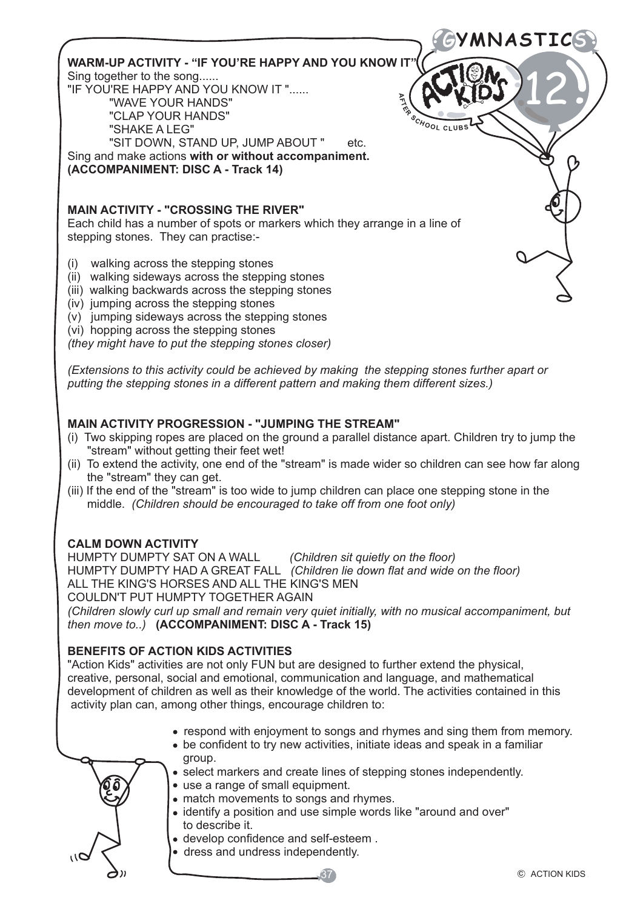G**YMNASTIC**S **A** $\frac{\delta_{\mathcal{C}_{\mathcal{H}_{\mathcal{O}}}}}{\delta_{\mathcal{C}_{\mathcal{H}_{\mathcal{O}}}}}}$ 12 WARM-UP ACTIVITY - "IF YOU'RE HAPPY AND YOU KNOW IT Sing together to the song...... "IF YOU'RE HAPPY AND YOU KNOW IT "...... "WAVE YOUR HANDS" "CLAP YOUR HANDS" "SHAKE A LEG" "SIT DOWN, STAND UP, JUMP ABOUT " etc. Sing and make actions **with or without accompaniment. (ACCOMPANIMENT: DISC A - Track 14) MAIN ACTIVITY - "CROSSING THE RIVER"** Each child has a number of spots or markers which they arrange in a line of stepping stones. They can practise:- (i) walking across the stepping stones (ii) walking sideways across the stepping stones (iii) walking backwards across the stepping stones

- (iv) jumping across the stepping stones
- (v) jumping sideways across the stepping stones
- (vi) hopping across the stepping stones

*(they might have to put the stepping stones closer)*

*(Extensions to this activity could be achieved by making the stepping stones further apart or putting the stepping stones in a different pattern and making them different sizes.)*

#### **MAIN ACTIVITY PROGRESSION - "JUMPING THE STREAM"**

- (i) Two skipping ropes are placed on the ground a parallel distance apart. Children try to jump the "stream" without getting their feet wet!
- (ii) To extend the activity, one end of the "stream" is made wider so children can see how far along the "stream" they can get.
- (iii) If the end of the "stream" is too wide to jump children can place one stepping stone in the middle. *(Children should be encouraged to take off from one foot only)*

**CALM DOWN ACTIVITY** (Children sit quietly on the floor) HUMPTY DUMPTY HAD A GREAT FALL *(Children lie down flat and wide on the floor)* ALL THE KING'S HORSES AND ALL THE KING'S MEN COULDN'T PUT HUMPTY TOGETHER AGAIN

*(Children slowly curl up small and remain very quiet initially, with no musical accompaniment, but then move to..)* **(ACCOMPANIMENT: DISC A - Track 15)**

#### **BENEFITS OF ACTION KIDS ACTIVITIES**

"Action Kids" activities are not only FUN but are designed to further extend the physical, creative, personal, social and emotional, communication and language, and mathematical development of children as well as their knowledge of the world. The activities contained in this activity plan can, among other things, encourage children to:

- respond with enjoyment to songs and rhymes and sing them from memory.
- be confident to try new activities, initiate ideas and speak in a familiar group.
- select markers and create lines of stepping stones independently.
- use a range of small equipment.
- match movements to songs and rhymes.
- identify a position and use simple words like "around and over" to describe it.

37

- develop confidence and self-esteem .
- dress and undress independently.

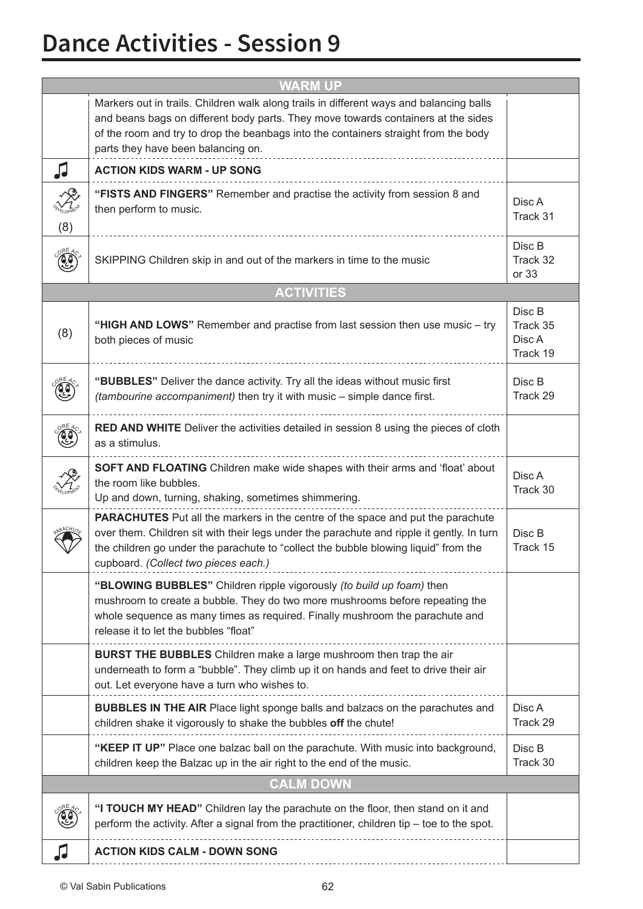### **Dance Activities - Session 9**

| <b>WARM UP</b> |                                                                                                                                                                                                                                                                                                                    |                                          |  |
|----------------|--------------------------------------------------------------------------------------------------------------------------------------------------------------------------------------------------------------------------------------------------------------------------------------------------------------------|------------------------------------------|--|
|                | Markers out in trails. Children walk along trails in different ways and balancing balls<br>and beans bags on different body parts. They move towards containers at the sides<br>of the room and try to drop the beanbags into the containers straight from the body<br>parts they have been balancing on.          |                                          |  |
| JJ             | <b>ACTION KIDS WARM - UP SONG</b>                                                                                                                                                                                                                                                                                  |                                          |  |
| (8)            | "FISTS AND FINGERS" Remember and practise the activity from session 8 and<br>then perform to music.                                                                                                                                                                                                                | Disc A<br>Track 31                       |  |
|                | SKIPPING Children skip in and out of the markers in time to the music                                                                                                                                                                                                                                              | Disc B<br>Track 32<br>or 33              |  |
|                | <b>ACTIVITIES</b>                                                                                                                                                                                                                                                                                                  |                                          |  |
| (8)            | "HIGH AND LOWS" Remember and practise from last session then use music - try<br>both pieces of music                                                                                                                                                                                                               | Disc B<br>Track 35<br>Disc A<br>Track 19 |  |
|                | "BUBBLES" Deliver the dance activity. Try all the ideas without music first<br>(tambourine accompaniment) then try it with music - simple dance first.                                                                                                                                                             | Disc B<br>Track 29                       |  |
|                | <b>RED AND WHITE</b> Deliver the activities detailed in session 8 using the pieces of cloth<br>as a stimulus.                                                                                                                                                                                                      |                                          |  |
|                | SOFT AND FLOATING Children make wide shapes with their arms and 'float' about<br>the room like bubbles.<br>Up and down, turning, shaking, sometimes shimmering.                                                                                                                                                    | Disc A<br>Track 30                       |  |
|                | <b>PARACHUTES</b> Put all the markers in the centre of the space and put the parachute<br>over them. Children sit with their legs under the parachute and ripple it gently. In turn<br>the children go under the parachute to "collect the bubble blowing liquid" from the<br>cupboard. (Collect two pieces each.) | Disc B<br>Track 15                       |  |
|                | "BLOWING BUBBLES" Children ripple vigorously (to build up foam) then<br>mushroom to create a bubble. They do two more mushrooms before repeating the<br>whole sequence as many times as required. Finally mushroom the parachute and<br>release it to let the bubbles "float"                                      |                                          |  |
|                | <b>BURST THE BUBBLES</b> Children make a large mushroom then trap the air<br>underneath to form a "bubble". They climb up it on hands and feet to drive their air<br>out. Let everyone have a turn who wishes to.                                                                                                  |                                          |  |
|                | <b>BUBBLES IN THE AIR</b> Place light sponge balls and balzacs on the parachutes and<br>children shake it vigorously to shake the bubbles off the chute!                                                                                                                                                           | Disc A<br>Track 29                       |  |
|                | "KEEP IT UP" Place one balzac ball on the parachute. With music into background,<br>children keep the Balzac up in the air right to the end of the music.                                                                                                                                                          | Disc B<br>Track 30                       |  |
|                | <b>CALM DOWN</b>                                                                                                                                                                                                                                                                                                   |                                          |  |
|                | "I TOUCH MY HEAD" Children lay the parachute on the floor, then stand on it and<br>perform the activity. After a signal from the practitioner, children tip - toe to the spot.                                                                                                                                     |                                          |  |
| JJ             | <b>ACTION KIDS CALM - DOWN SONG</b>                                                                                                                                                                                                                                                                                |                                          |  |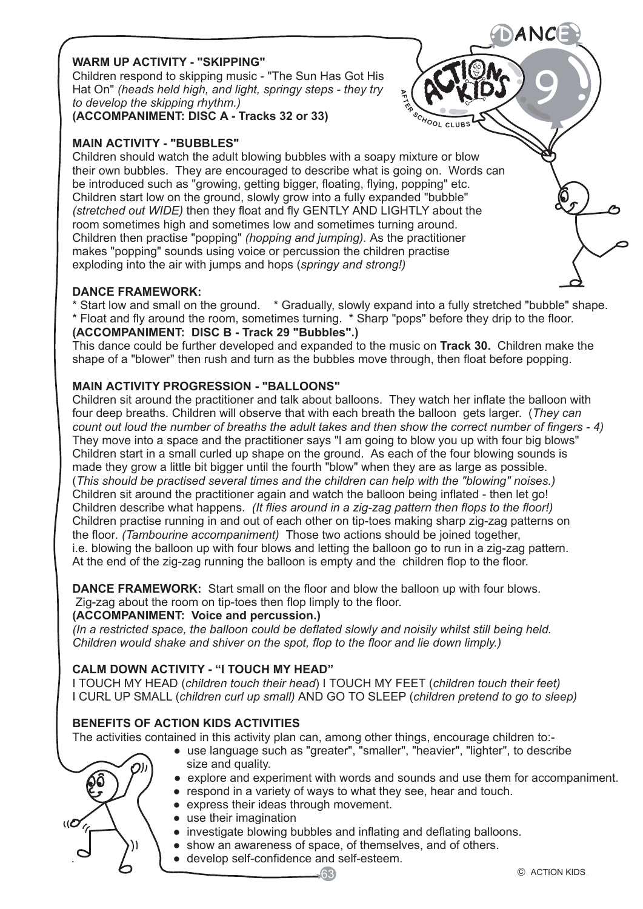#### **WARM UP ACTIVITY - "SKIPPING"**

Children respond to skipping music - "The Sun Has Got His Hat On" *(heads held high, and light, springy steps - they try to develop the skipping rhythm.)*

**(ACCOMPANIMENT: DISC A - Tracks 32 or 33)**

#### **MAIN ACTIVITY - "BUBBLES"**

Children should watch the adult blowing bubbles with a soapy mixture or blow their own bubbles. They are encouraged to describe what is going on. Words can be introduced such as "growing, getting bigger, floating, flying, popping" etc. Children start low on the ground, slowly grow into a fully expanded "bubble" *(stretched out WIDE)* then they float and fly GENTLY AND LIGHTLY about the room sometimes high and sometimes low and sometimes turning around. Children then practise "popping" *(hopping and jumping).* As the practitioner makes "popping" sounds using voice or percussion the children practise exploding into the air with jumps and hops (*springy and strong!)*

#### **DANCE FRAMEWORK:**

\* Start low and small on the ground. \* Gradually, slowly expand into a fully stretched "bubble" shape. \* Float and fly around the room, sometimes turning. \* Sharp "pops" before they drip to the floor.

**A**

 $\frac{s_{c}}{s_{H}}$ 

#### **(ACCOMPANIMENT: DISC B - Track 29 "Bubbles".)**

This dance could be further developed and expanded to the music on **Track 30.** Children make the shape of a "blower" then rush and turn as the bubbles move through, then float before popping.

#### **MAIN ACTIVITY PROGRESSION - "BALLOONS"**

Children sit around the practitioner and talk about balloons. They watch her inflate the balloon with four deep breaths. Children will observe that with each breath the balloon gets larger. (*They can count out loud the number of breaths the adult takes and then show the correct number of fingers - 4)*  They move into a space and the practitioner says "I am going to blow you up with four big blows" Children start in a small curled up shape on the ground. As each of the four blowing sounds is made they grow a little bit bigger until the fourth "blow" when they are as large as possible. (*This should be practised several times and the children can help with the "blowing" noises.)*  Children sit around the practitioner again and watch the balloon being inflated - then let go! Children describe what happens. *(It flies around in a zig-zag pattern then flops to the floor!)*  Children practise running in and out of each other on tip-toes making sharp zig-zag patterns on the floor*. (Tambourine accompaniment)* Those two actions should be joined together, i.e. blowing the balloon up with four blows and letting the balloon go to run in a zig-zag pattern. At the end of the zig-zag running the balloon is empty and the children flop to the floor.

**DANCE FRAMEWORK:** Start small on the floor and blow the balloon up with four blows. Zig-zag about the room on tip-toes then flop limply to the floor.

#### **(ACCOMPANIMENT: Voice and percussion.)**

*(In a restricted space, the balloon could be deflated slowly and noisily whilst still being held. Children would shake and shiver on the spot, flop to the floor and lie down limply.)*

#### **CALM DOWN ACTIVITY - "I TOUCH MY HEAD"**

I TOUCH MY HEAD (*children touch their head*) I TOUCH MY FEET (*children touch their feet)* I CURL UP SMALL (*children curl up small)* AND GO TO SLEEP (*children pretend to go to sleep)*

#### **BENEFITS OF ACTION KIDS ACTIVITIES**

The activities contained in this activity plan can, among other things, encourage children to:-

- use language such as "greater", "smaller", "heavier", "lighter", to describe size and quality.
- $\mathfrak{so}$  /  $'$   $'$   $\bullet$  explore and experiment with words and sounds and use them for accompaniment.
	- respond in a variety of ways to what they see, hear and touch.
	- express their ideas through movement.
	- use their imagination
	- investigate blowing bubbles and inflating and deflating balloons.
	- show an awareness of space, of themselves, and of others.
	- . develop self-confidence and self-esteem.

DANCE

9

O<br>L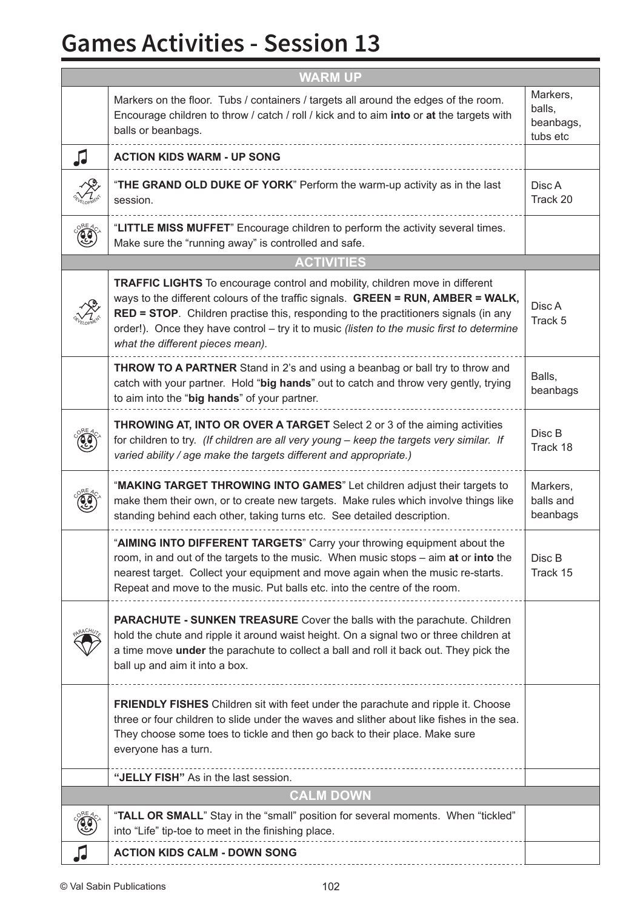## **Games Activities - Session 13**

| <b>WARM UP</b>    |                                                                                                                                                                                                                                                                                                                                                                                                        |                                             |
|-------------------|--------------------------------------------------------------------------------------------------------------------------------------------------------------------------------------------------------------------------------------------------------------------------------------------------------------------------------------------------------------------------------------------------------|---------------------------------------------|
|                   | Markers on the floor. Tubs / containers / targets all around the edges of the room.<br>Encourage children to throw / catch / roll / kick and to aim into or at the targets with<br>balls or beanbags.                                                                                                                                                                                                  | Markers,<br>balls,<br>beanbags,<br>tubs etc |
| JJ                | <b>ACTION KIDS WARM - UP SONG</b>                                                                                                                                                                                                                                                                                                                                                                      |                                             |
|                   | "THE GRAND OLD DUKE OF YORK" Perform the warm-up activity as in the last<br>session.                                                                                                                                                                                                                                                                                                                   | Disc A<br>Track 20                          |
|                   | "LITTLE MISS MUFFET" Encourage children to perform the activity several times.<br>Make sure the "running away" is controlled and safe.                                                                                                                                                                                                                                                                 |                                             |
| <b>ACTIVITIES</b> |                                                                                                                                                                                                                                                                                                                                                                                                        |                                             |
|                   | <b>TRAFFIC LIGHTS</b> To encourage control and mobility, children move in different<br>ways to the different colours of the traffic signals. GREEN = RUN, AMBER = WALK,<br><b>RED = STOP.</b> Children practise this, responding to the practitioners signals (in any<br>order!). Once they have control - try it to music (listen to the music first to determine<br>what the different pieces mean). | Disc A<br>Track 5                           |
|                   | <b>THROW TO A PARTNER</b> Stand in 2's and using a beanbag or ball try to throw and<br>catch with your partner. Hold "big hands" out to catch and throw very gently, trying<br>to aim into the "big hands" of your partner.                                                                                                                                                                            | Balls,<br>beanbags                          |
|                   | <b>THROWING AT, INTO OR OVER A TARGET</b> Select 2 or 3 of the aiming activities<br>for children to try. (If children are all very young - keep the targets very similar. If<br>varied ability / age make the targets different and appropriate.)                                                                                                                                                      | Disc B<br>Track 18                          |
|                   | "MAKING TARGET THROWING INTO GAMES" Let children adjust their targets to<br>make them their own, or to create new targets. Make rules which involve things like<br>standing behind each other, taking turns etc. See detailed description.                                                                                                                                                             | Markers,<br>balls and<br>beanbags           |
|                   | "AIMING INTO DIFFERENT TARGETS" Carry your throwing equipment about the<br>room, in and out of the targets to the music. When music stops - aim at or into the<br>nearest target. Collect your equipment and move again when the music re-starts.<br>Repeat and move to the music. Put balls etc. into the centre of the room.                                                                         | Disc B<br>Track 15                          |
|                   | <b>PARACHUTE - SUNKEN TREASURE</b> Cover the balls with the parachute. Children<br>hold the chute and ripple it around waist height. On a signal two or three children at<br>a time move under the parachute to collect a ball and roll it back out. They pick the<br>ball up and aim it into a box.                                                                                                   |                                             |
|                   | <b>FRIENDLY FISHES</b> Children sit with feet under the parachute and ripple it. Choose<br>three or four children to slide under the waves and slither about like fishes in the sea.<br>They choose some toes to tickle and then go back to their place. Make sure<br>everyone has a turn.                                                                                                             |                                             |
|                   | "JELLY FISH" As in the last session.                                                                                                                                                                                                                                                                                                                                                                   |                                             |
| <b>CALM DOWN</b>  |                                                                                                                                                                                                                                                                                                                                                                                                        |                                             |
|                   | "TALL OR SMALL" Stay in the "small" position for several moments. When "tickled"<br>into "Life" tip-toe to meet in the finishing place.                                                                                                                                                                                                                                                                |                                             |
| IJ                | <b>ACTION KIDS CALM - DOWN SONG</b>                                                                                                                                                                                                                                                                                                                                                                    |                                             |